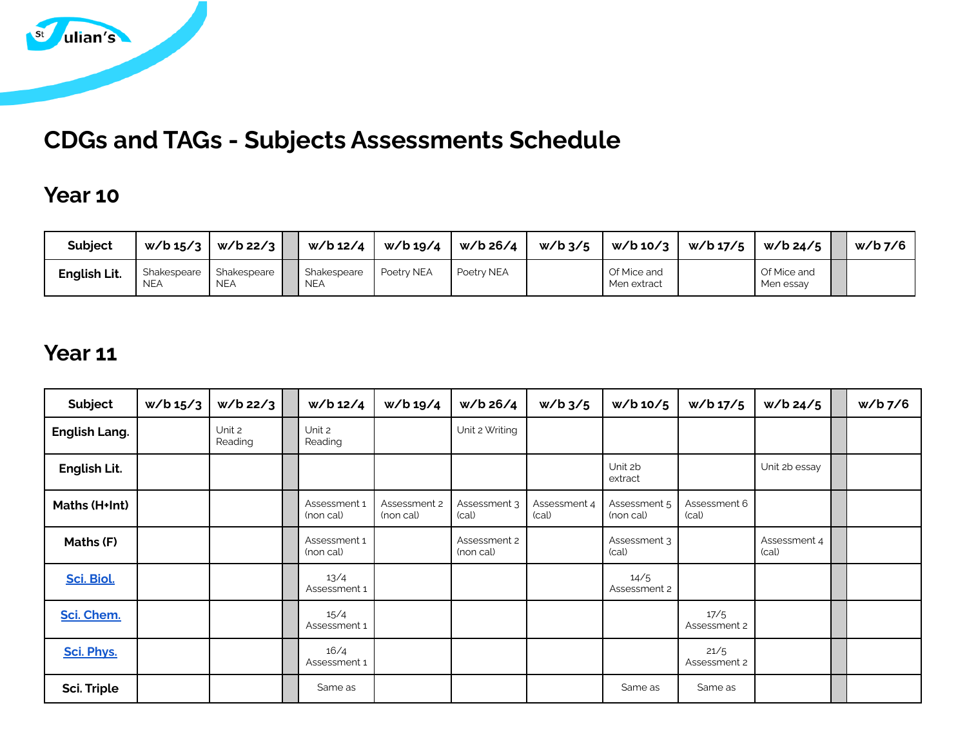

# **CDGs and TAGs - Subjects Assessments Schedule**

### **Year 10**

| <b>Subject</b> | $w/b$ 15/3                | $w/b$ 22/3                | w/b 12/4                  | w/b 19/4   | w/b 26/4   | $w/b$ 3/5 | $w/b$ 10/3                   | w/b 17/5 | w/b 24/5                 | w/b <sub>7</sub> /6 |
|----------------|---------------------------|---------------------------|---------------------------|------------|------------|-----------|------------------------------|----------|--------------------------|---------------------|
| English Lit.   | Shakespeare<br><b>NEA</b> | Shakespeare<br><b>NEA</b> | Shakespeare<br><b>NEA</b> | Poetry NEA | Poetry NEA |           | Of Mice and<br>Ⅰ Men extract |          | Of Mice and<br>Men essay |                     |

### **Year 11**

| Subject              | w/b 15/3 | $w/b$ 22/3        | w/b 12/4                  | w/b 19/4                  | w/b 26/4                  | $w/b$ 3/5             | $w/b$ 10/5                | w/b 17/5              | $w/b$ 24/5            | w/b 7/6 |
|----------------------|----------|-------------------|---------------------------|---------------------------|---------------------------|-----------------------|---------------------------|-----------------------|-----------------------|---------|
| <b>English Lang.</b> |          | Unit 2<br>Reading | Unit 2<br>Reading         |                           | Unit 2 Writing            |                       |                           |                       |                       |         |
| English Lit.         |          |                   |                           |                           |                           |                       | Unit 2b<br>extract        |                       | Unit 2b essay         |         |
| Maths (H+Int)        |          |                   | Assessment 1<br>(non cal) | Assessment 2<br>(non cal) | Assessment 3<br>(cal)     | Assessment 4<br>(cal) | Assessment 5<br>(non cal) | Assessment 6<br>(cal) |                       |         |
| <b>Maths (F)</b>     |          |                   | Assessment 1<br>(non cal) |                           | Assessment 2<br>(non cal) |                       | Assessment 3<br>(cal)     |                       | Assessment 4<br>(cal) |         |
| Sci. Biol.           |          |                   | 13/4<br>Assessment 1      |                           |                           |                       | 14/5<br>Assessment 2      |                       |                       |         |
| Sci. Chem.           |          |                   | 15/4<br>Assessment 1      |                           |                           |                       |                           | 17/5<br>Assessment 2  |                       |         |
| Sci. Phys.           |          |                   | 16/4<br>Assessment 1      |                           |                           |                       |                           | 21/5<br>Assessment 2  |                       |         |
| Sci. Triple          |          |                   | Same as                   |                           |                           |                       | Same as                   | Same as               |                       |         |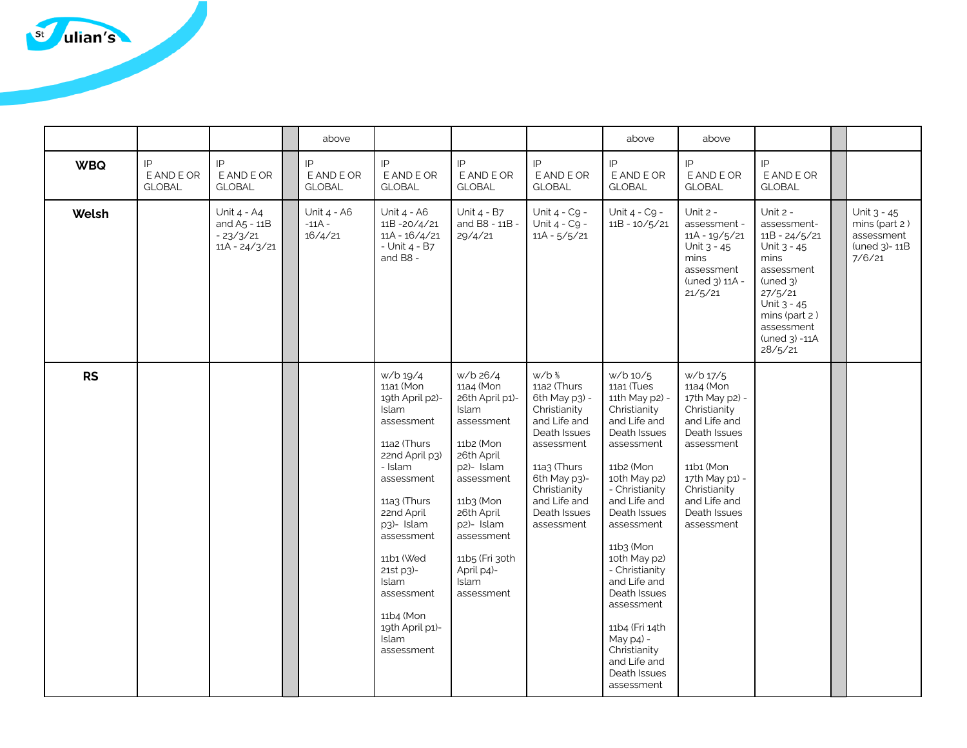

|            |                                   |                                                                | above                              |                                                                                                                                                                                                                                                                                                                   |                                                                                                                                                                                                                                                    |                                                                                                                                                                                                                             | above                                                                                                                                                                                                                                                                                                                                                                                           | above                                                                                                                                                                                              |                                                                                                                                                                                            |                                                                      |
|------------|-----------------------------------|----------------------------------------------------------------|------------------------------------|-------------------------------------------------------------------------------------------------------------------------------------------------------------------------------------------------------------------------------------------------------------------------------------------------------------------|----------------------------------------------------------------------------------------------------------------------------------------------------------------------------------------------------------------------------------------------------|-----------------------------------------------------------------------------------------------------------------------------------------------------------------------------------------------------------------------------|-------------------------------------------------------------------------------------------------------------------------------------------------------------------------------------------------------------------------------------------------------------------------------------------------------------------------------------------------------------------------------------------------|----------------------------------------------------------------------------------------------------------------------------------------------------------------------------------------------------|--------------------------------------------------------------------------------------------------------------------------------------------------------------------------------------------|----------------------------------------------------------------------|
| <b>WBQ</b> | IP<br>E AND E OR<br><b>GLOBAL</b> | IP<br>E AND E OR<br><b>GLOBAL</b>                              | IP<br>E AND E OR<br><b>GLOBAL</b>  | IP<br>E AND E OR<br><b>GLOBAL</b>                                                                                                                                                                                                                                                                                 | IP<br>E AND E OR<br><b>GLOBAL</b>                                                                                                                                                                                                                  | IP<br>E AND E OR<br><b>GLOBAL</b>                                                                                                                                                                                           | IP<br>E AND E OR<br><b>GLOBAL</b>                                                                                                                                                                                                                                                                                                                                                               | IP<br>E AND E OR<br><b>GLOBAL</b>                                                                                                                                                                  | IP<br>E AND E OR<br><b>GLOBAL</b>                                                                                                                                                          |                                                                      |
| Welsh      |                                   | Unit 4 - A4<br>and $A5 - 11B$<br>$-23/3/21$<br>$11A - 24/3/21$ | Unit 4 - A6<br>$-11A -$<br>16/4/21 | Unit 4 - A6<br>$11B - 20/4/21$<br>$11A - 16/4/21$<br>- Unit 4 - B7<br>and $B8 -$                                                                                                                                                                                                                                  | Unit 4 - B7<br>and B8 - 11B -<br>29/4/21                                                                                                                                                                                                           | Unit 4 - C9 -<br>Unit 4 - C9 -<br>$11A - 5/5/21$                                                                                                                                                                            | Unit 4 - C9 -<br>$11B - 10/5/21$                                                                                                                                                                                                                                                                                                                                                                | Unit $2 -$<br>assessment -<br>$11A - 19/5/21$<br>Unit 3 - 45<br>mins<br>assessment<br>(uned 3) 11A -<br>21/5/21                                                                                    | Unit 2 -<br>assessment-<br>$11B - 24/5/21$<br>Unit 3 - 45<br>mins<br>assessment<br>$($ uned $3)$<br>27/5/21<br>Unit 3 - 45<br>mins (part 2)<br>assessment<br>$($ uned $3)$ -11A<br>28/5/21 | Unit 3 - 45<br>mins (part 2)<br>assessment<br>(uned 3)-11B<br>7/6/21 |
| <b>RS</b>  |                                   |                                                                |                                    | w/b 19/4<br>11a1 (Mon<br>19th April p2)-<br><b>Islam</b><br>assessment<br>11a2 (Thurs<br>22nd April p3)<br>- Islam<br>assessment<br>$11a3$ (Thurs<br>22nd April<br>p3)- Islam<br>assessment<br>11b1 (Wed<br>21st p3)-<br><b>Islam</b><br>assessment<br>11b4 (Mon<br>19th April p1)-<br><b>Islam</b><br>assessment | w/b 26/4<br>11a4 (Mon<br>26th April p1)-<br><b>Islam</b><br>assessment<br>11b2 (Mon<br>26th April<br>p2)- Islam<br>assessment<br>11b3 (Mon<br>26th April<br>p2)- Islam<br>assessment<br>11b5 (Fri 30th<br>April p4)-<br><b>Islam</b><br>assessment | w/b <sup>3/</sup> <sub>5</sub><br>11a2 (Thurs<br>6th May p3) -<br>Christianity<br>and Life and<br>Death Issues<br>assessment<br>$11a3$ (Thurs<br>6th May p3)-<br>Christianity<br>and Life and<br>Death Issues<br>assessment | $w/b$ 10/5<br>11a1 (Tues<br>11th May p2) -<br>Christianity<br>and Life and<br>Death Issues<br>assessment<br>11b2 (Mon<br>10th May p2)<br>- Christianity<br>and Life and<br>Death Issues<br>assessment<br>11b3 (Mon<br>10th May p2)<br>- Christianity<br>and Life and<br>Death Issues<br>assessment<br>11b4 (Fri 14th<br>May p4) -<br>Christianity<br>and Life and<br>Death Issues<br>assessment | w/b 17/5<br>11a4 (Mon<br>17th May p2) -<br>Christianity<br>and Life and<br>Death Issues<br>assessment<br>11b1 (Mon<br>17th May p1) -<br>Christianity<br>and Life and<br>Death Issues<br>assessment |                                                                                                                                                                                            |                                                                      |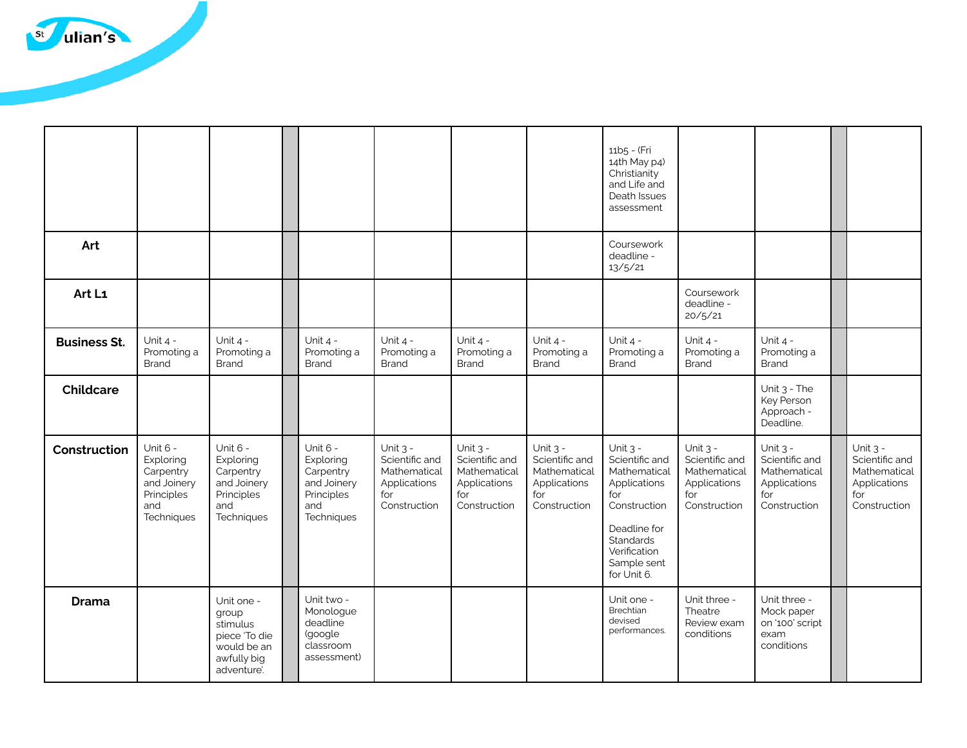

|                     |                                                                                      |                                                                                               |                                                                                      |                                                                                     |                                                                                     |                                                                                     | 11b5 - (Fri<br>14th May p4)<br>Christianity<br>and Life and<br>Death Issues<br>assessment                                                                             |                                                                                     |                                                                                     |                                                                                     |
|---------------------|--------------------------------------------------------------------------------------|-----------------------------------------------------------------------------------------------|--------------------------------------------------------------------------------------|-------------------------------------------------------------------------------------|-------------------------------------------------------------------------------------|-------------------------------------------------------------------------------------|-----------------------------------------------------------------------------------------------------------------------------------------------------------------------|-------------------------------------------------------------------------------------|-------------------------------------------------------------------------------------|-------------------------------------------------------------------------------------|
| Art                 |                                                                                      |                                                                                               |                                                                                      |                                                                                     |                                                                                     |                                                                                     | Coursework<br>deadline -<br>13/5/21                                                                                                                                   |                                                                                     |                                                                                     |                                                                                     |
| Art L1              |                                                                                      |                                                                                               |                                                                                      |                                                                                     |                                                                                     |                                                                                     |                                                                                                                                                                       | Coursework<br>deadline -<br>20/5/21                                                 |                                                                                     |                                                                                     |
| <b>Business St.</b> | Unit $4 -$<br>Promoting a<br>Brand                                                   | Unit $4 -$<br>Promoting a<br><b>Brand</b>                                                     | Unit $4 -$<br>Promoting a<br><b>Brand</b>                                            | Unit $4 -$<br>Promoting a<br>Brand                                                  | Unit $4 -$<br>Promoting a<br><b>Brand</b>                                           | Unit $4 -$<br>Promoting a<br><b>Brand</b>                                           | Unit 4 -<br>Promoting a<br><b>Brand</b>                                                                                                                               | Unit $4 -$<br>Promoting a<br>Brand                                                  | Unit $4 -$<br>Promoting a<br><b>Brand</b>                                           |                                                                                     |
| <b>Childcare</b>    |                                                                                      |                                                                                               |                                                                                      |                                                                                     |                                                                                     |                                                                                     |                                                                                                                                                                       |                                                                                     | Unit 3 - The<br>Key Person<br>Approach -<br>Deadline.                               |                                                                                     |
| Construction        | Unit 6 -<br>Exploring<br>Carpentry<br>and Joinery<br>Principles<br>and<br>Techniques | Unit 6 -<br>Exploring<br>Carpentry<br>and Joinery<br>Principles<br>and<br>Techniques          | Unit 6 -<br>Exploring<br>Carpentry<br>and Joinery<br>Principles<br>and<br>Techniques | Unit $3 -$<br>Scientific and<br>Mathematical<br>Applications<br>for<br>Construction | Unit $3 -$<br>Scientific and<br>Mathematical<br>Applications<br>for<br>Construction | Unit $3 -$<br>Scientific and<br>Mathematical<br>Applications<br>for<br>Construction | Unit $3 -$<br>Scientific and<br>Mathematical<br>Applications<br>for<br>Construction<br>Deadline for<br><b>Standards</b><br>Verification<br>Sample sent<br>for Unit 6. | Unit $3 -$<br>Scientific and<br>Mathematical<br>Applications<br>for<br>Construction | Unit $3 -$<br>Scientific and<br>Mathematical<br>Applications<br>for<br>Construction | Unit $3 -$<br>Scientific and<br>Mathematical<br>Applications<br>for<br>Construction |
| <b>Drama</b>        |                                                                                      | Unit one -<br>group<br>stimulus<br>piece 'To die<br>would be an<br>awfully big<br>adventure'. | Unit two -<br>Monologue<br>deadline<br>(google<br>classroom<br>assessment)           |                                                                                     |                                                                                     |                                                                                     | Unit one -<br>Brechtian<br>devised<br>performances.                                                                                                                   | Unit three -<br>Theatre<br>Review exam<br>conditions                                | Unit three -<br>Mock paper<br>on '100' script<br>exam<br>conditions                 |                                                                                     |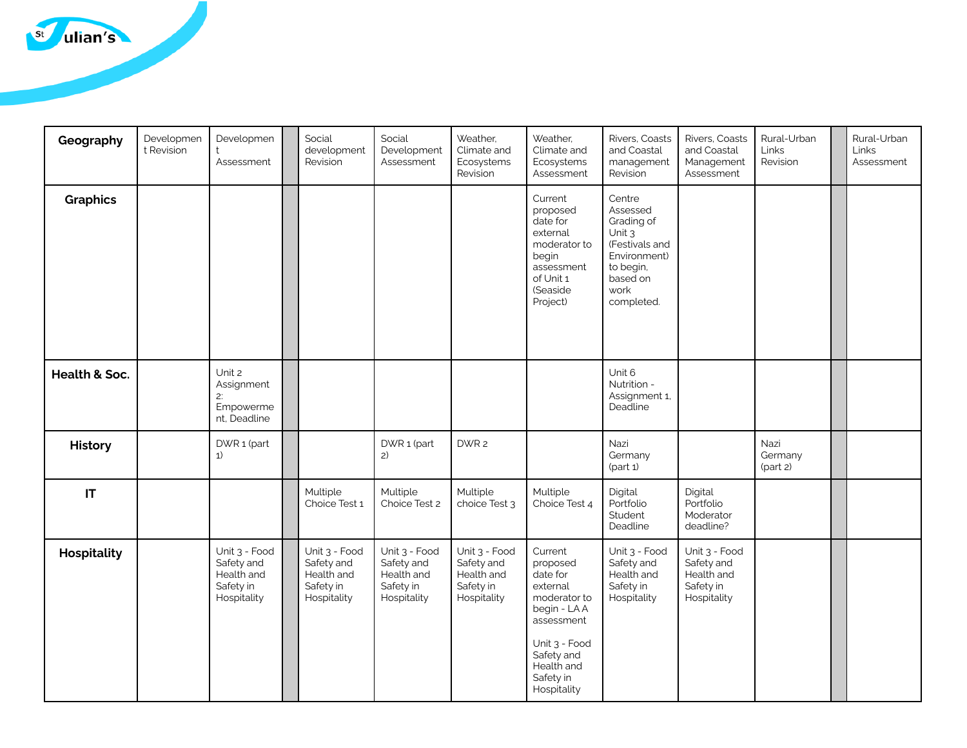

| Geography                | Developmen<br>t Revision | Developmen<br>Assessment                                              | Social<br>development<br>Revision                                     | Social<br>Development<br>Assessment                                   | Weather,<br>Climate and<br>Ecosystems<br>Revision                     | Weather,<br>Climate and<br>Ecosystems<br>Assessment                                                                                                                | Rivers, Coasts<br>and Coastal<br>management<br>Revision                                                                     | Rivers, Coasts<br>and Coastal<br>Management<br>Assessment             | Rural-Urban<br>Links<br>Revision | Rural-Urban<br>Links<br>Assessment |
|--------------------------|--------------------------|-----------------------------------------------------------------------|-----------------------------------------------------------------------|-----------------------------------------------------------------------|-----------------------------------------------------------------------|--------------------------------------------------------------------------------------------------------------------------------------------------------------------|-----------------------------------------------------------------------------------------------------------------------------|-----------------------------------------------------------------------|----------------------------------|------------------------------------|
| <b>Graphics</b>          |                          |                                                                       |                                                                       |                                                                       |                                                                       | Current<br>proposed<br>date for<br>external<br>moderator to<br>begin<br>assessment<br>of Unit 1<br>(Seaside<br>Project)                                            | Centre<br>Assessed<br>Grading of<br>Unit 3<br>(Festivals and<br>Environment)<br>to begin,<br>based on<br>work<br>completed. |                                                                       |                                  |                                    |
| <b>Health &amp; Soc.</b> |                          | Unit 2<br>Assignment<br>2:<br>Empowerme<br>nt, Deadline               |                                                                       |                                                                       |                                                                       |                                                                                                                                                                    | Unit 6<br>Nutrition -<br>Assignment 1,<br>Deadline                                                                          |                                                                       |                                  |                                    |
| <b>History</b>           |                          | DWR 1 (part<br>1)                                                     |                                                                       | DWR 1 (part<br>2)                                                     | DWR 2                                                                 |                                                                                                                                                                    | Nazi<br>Germany<br>(part 1)                                                                                                 |                                                                       | Nazi<br>Germany<br>$\frac{1}{2}$ |                                    |
| IT                       |                          |                                                                       | Multiple<br>Choice Test 1                                             | Multiple<br>Choice Test 2                                             | Multiple<br>choice Test 3                                             | Multiple<br>Choice Test 4                                                                                                                                          | Digital<br>Portfolio<br>Student<br>Deadline                                                                                 | Digital<br>Portfolio<br>Moderator<br>deadline?                        |                                  |                                    |
| <b>Hospitality</b>       |                          | Unit 3 - Food<br>Safety and<br>Health and<br>Safety in<br>Hospitality | Unit 3 - Food<br>Safety and<br>Health and<br>Safety in<br>Hospitality | Unit 3 - Food<br>Safety and<br>Health and<br>Safety in<br>Hospitality | Unit 3 - Food<br>Safety and<br>Health and<br>Safety in<br>Hospitality | Current<br>proposed<br>date for<br>external<br>moderator to<br>begin - LA A<br>assessment<br>Unit 3 - Food<br>Safety and<br>Health and<br>Safety in<br>Hospitality | Unit 3 - Food<br>Safety and<br>Health and<br>Safety in<br>Hospitality                                                       | Unit 3 - Food<br>Safety and<br>Health and<br>Safety in<br>Hospitality |                                  |                                    |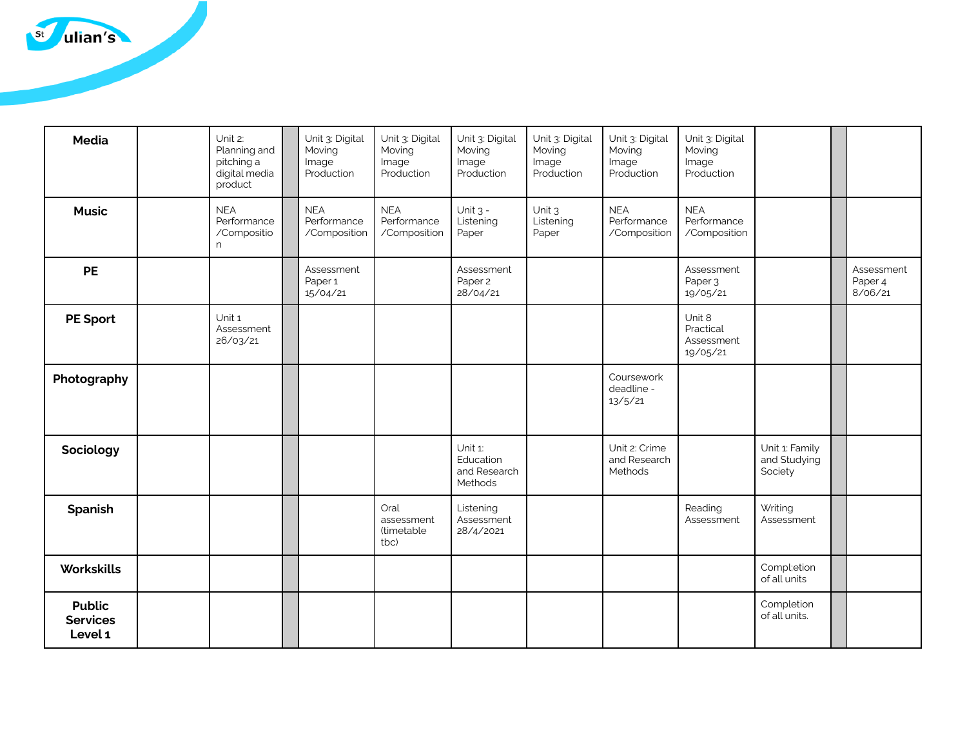

| <b>Media</b>                                | Unit 2:<br>Planning and<br>pitching a<br>digital media<br>product | Unit 3: Digital<br>Moving<br>Image<br>Production | Unit 3: Digital<br>Moving<br>Image<br>Production | Unit 3: Digital<br>Moving<br>Image<br>Production | Unit 3: Digital<br>Moving<br>Image<br>Production | Unit 3: Digital<br>Moving<br>Image<br>Production | Unit 3: Digital<br>Moving<br>Image<br>Production |                                           |                                  |
|---------------------------------------------|-------------------------------------------------------------------|--------------------------------------------------|--------------------------------------------------|--------------------------------------------------|--------------------------------------------------|--------------------------------------------------|--------------------------------------------------|-------------------------------------------|----------------------------------|
| <b>Music</b>                                | <b>NEA</b><br>Performance<br>/Compositio<br>n                     | <b>NEA</b><br>Performance<br>/Composition        | <b>NEA</b><br>Performance<br>/Composition        | Unit $3 -$<br>Listening<br>Paper                 | Unit 3<br>Listening<br>Paper                     | <b>NEA</b><br>Performance<br>/Composition        | <b>NEA</b><br>Performance<br>/Composition        |                                           |                                  |
| <b>PE</b>                                   |                                                                   | Assessment<br>Paper 1<br>15/04/21                |                                                  | Assessment<br>Paper 2<br>28/04/21                |                                                  |                                                  | Assessment<br>Paper 3<br>19/05/21                |                                           | Assessment<br>Paper 4<br>8/06/21 |
| <b>PE Sport</b>                             | Unit 1<br>Assessment<br>26/03/21                                  |                                                  |                                                  |                                                  |                                                  |                                                  | Unit 8<br>Practical<br>Assessment<br>19/05/21    |                                           |                                  |
| Photography                                 |                                                                   |                                                  |                                                  |                                                  |                                                  | Coursework<br>deadline -<br>13/5/21              |                                                  |                                           |                                  |
| Sociology                                   |                                                                   |                                                  |                                                  | Unit 1:<br>Education<br>and Research<br>Methods  |                                                  | Unit 2: Crime<br>and Research<br>Methods         |                                                  | Unit 1: Family<br>and Studying<br>Society |                                  |
| <b>Spanish</b>                              |                                                                   |                                                  | Oral<br>assessment<br>(timetable<br>tbc)         | Listening<br>Assessment<br>28/4/2021             |                                                  |                                                  | Reading<br>Assessment                            | Writing<br>Assessment                     |                                  |
| <b>Workskills</b>                           |                                                                   |                                                  |                                                  |                                                  |                                                  |                                                  |                                                  | Compl;etion<br>of all units               |                                  |
| <b>Public</b><br><b>Services</b><br>Level 1 |                                                                   |                                                  |                                                  |                                                  |                                                  |                                                  |                                                  | Completion<br>of all units.               |                                  |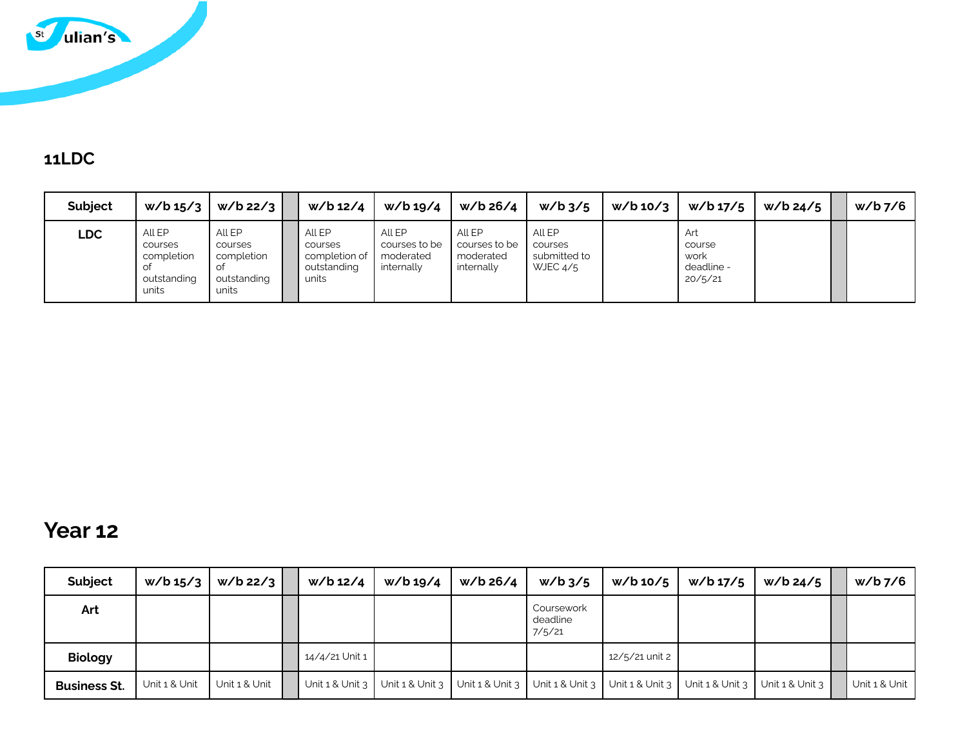

#### **11LDC**

| <b>Subject</b> | w/b 15/3                                                      | $w/b$ 22/3                                              | w/b 12/4                                                   | w/b 19/4                                           | w/b 26/4                                           | $w/b$ 3/5                                       | w/b 10/3 | $w/b$ 17/5                                     | $W/b$ 24/5 $\parallel$ | $w/b$ 7/6 |
|----------------|---------------------------------------------------------------|---------------------------------------------------------|------------------------------------------------------------|----------------------------------------------------|----------------------------------------------------|-------------------------------------------------|----------|------------------------------------------------|------------------------|-----------|
| LDC.           | All EP<br>courses<br>completion<br>оt<br>outstanding<br>units | All EP<br>courses<br>completion<br>outstanding<br>units | All EP<br>courses<br>completion of<br>outstanding<br>units | All EP<br>courses to be<br>moderated<br>internally | All EP<br>courses to be<br>moderated<br>internally | All EP<br>courses<br>submitted to<br>WJEC $4/5$ |          | Art<br>course<br>work<br>deadline -<br>20/5/21 |                        |           |

## **Year 12**

| Subject             | w/b 15/3      | $w/b$ 22/3    | w/b 12/4            | w/b 19/4              | w/b 26/4              | $w/b$ 3/5                        | $w/b$ 10/5          | w/b 17/5 | w/b 24/5                                | w/b 7/6       |
|---------------------|---------------|---------------|---------------------|-----------------------|-----------------------|----------------------------------|---------------------|----------|-----------------------------------------|---------------|
| Art                 |               |               |                     |                       |                       | Coursework<br>deadline<br>7/5/21 |                     |          |                                         |               |
| <b>Biology</b>      |               |               | 14/4/21 Unit 1      |                       |                       |                                  | 12/5/21 unit 2      |          |                                         |               |
| <b>Business St.</b> | Unit 1 & Unit | Unit 1 & Unit | Unit $1 &$ Unit $3$ | Unit $1 & 1$ Unit $3$ | Unit $1 & 1$ Unit $3$ | Unit $1 & 1$ Unit $3$            | Unit $1 &$ Unit $3$ |          | Unit $1$ & Unit $3$ Unit $1$ & Unit $3$ | Unit 1 & Unit |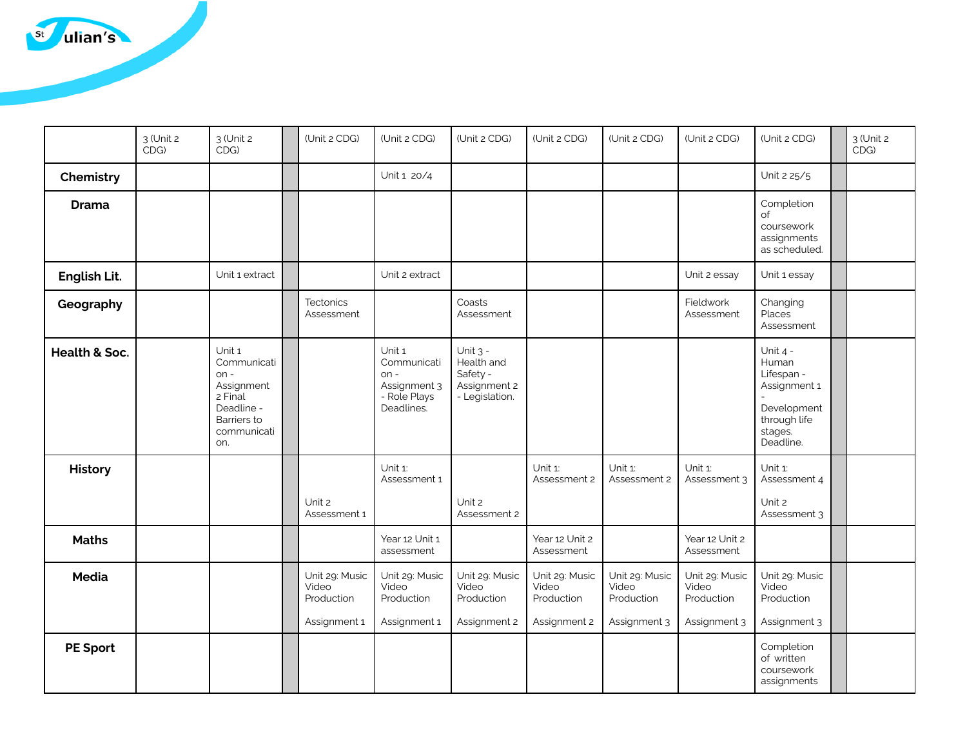

|                 | 3 (Unit 2<br>CDG) | 3 (Unit 2<br>CDG)                                                                                           | (Unit 2 CDG)                                          | (Unit 2 CDG)                                                                  | (Unit 2 CDG)                                                           | (Unit 2 CDG)                                          | (Unit 2 CDG)                                          | (Unit 2 CDG)                                          | (Unit 2 CDG)                                                                                             | 3 (Unit 2<br>CDG |
|-----------------|-------------------|-------------------------------------------------------------------------------------------------------------|-------------------------------------------------------|-------------------------------------------------------------------------------|------------------------------------------------------------------------|-------------------------------------------------------|-------------------------------------------------------|-------------------------------------------------------|----------------------------------------------------------------------------------------------------------|------------------|
| Chemistry       |                   |                                                                                                             |                                                       | Unit 1 20/4                                                                   |                                                                        |                                                       |                                                       |                                                       | Unit 2 25/5                                                                                              |                  |
| <b>Drama</b>    |                   |                                                                                                             |                                                       |                                                                               |                                                                        |                                                       |                                                       |                                                       | Completion<br>of<br>coursework<br>assignments<br>as scheduled.                                           |                  |
| English Lit.    |                   | Unit 1 extract                                                                                              |                                                       | Unit 2 extract                                                                |                                                                        |                                                       |                                                       | Unit 2 essay                                          | Unit 1 essay                                                                                             |                  |
| Geography       |                   |                                                                                                             | Tectonics<br>Assessment                               |                                                                               | Coasts<br>Assessment                                                   |                                                       |                                                       | Fieldwork<br>Assessment                               | Changing<br>Places<br>Assessment                                                                         |                  |
| Health & Soc.   |                   | Unit 1<br>Communicati<br>$on -$<br>Assignment<br>2 Final<br>Deadline -<br>Barriers to<br>communicati<br>on. |                                                       | Unit 1<br>Communicati<br>$on -$<br>Assignment 3<br>- Role Plays<br>Deadlines. | Unit $3 -$<br>Health and<br>Safety -<br>Assignment 2<br>- Legislation. |                                                       |                                                       |                                                       | Unit $4 -$<br>Human<br>Lifespan -<br>Assignment 1<br>Development<br>through life<br>stages.<br>Deadline. |                  |
| <b>History</b>  |                   |                                                                                                             | Unit 2<br>Assessment 1                                | Unit 1:<br>Assessment 1                                                       | Unit 2<br>Assessment 2                                                 | Unit 1:<br>Assessment 2                               | Unit 1:<br>Assessment 2                               | Unit 1:<br>Assessment 3                               | Unit 1:<br>Assessment 4<br>Unit 2<br>Assessment 3                                                        |                  |
| <b>Maths</b>    |                   |                                                                                                             |                                                       | Year 12 Unit 1<br>assessment                                                  |                                                                        | Year 12 Unit 2<br>Assessment                          |                                                       | Year 12 Unit 2<br>Assessment                          |                                                                                                          |                  |
| <b>Media</b>    |                   |                                                                                                             | Unit 29: Music<br>Video<br>Production<br>Assignment 1 | Unit 29: Music<br>Video<br>Production<br>Assignment 1                         | Unit 29: Music<br>Video<br>Production<br>Assignment 2                  | Unit 29: Music<br>Video<br>Production<br>Assignment 2 | Unit 29: Music<br>Video<br>Production<br>Assignment 3 | Unit 29: Music<br>Video<br>Production<br>Assignment 3 | Unit 29: Music<br>Video<br>Production<br>Assignment 3                                                    |                  |
| <b>PE Sport</b> |                   |                                                                                                             |                                                       |                                                                               |                                                                        |                                                       |                                                       |                                                       | Completion<br>of written<br>coursework<br>assignments                                                    |                  |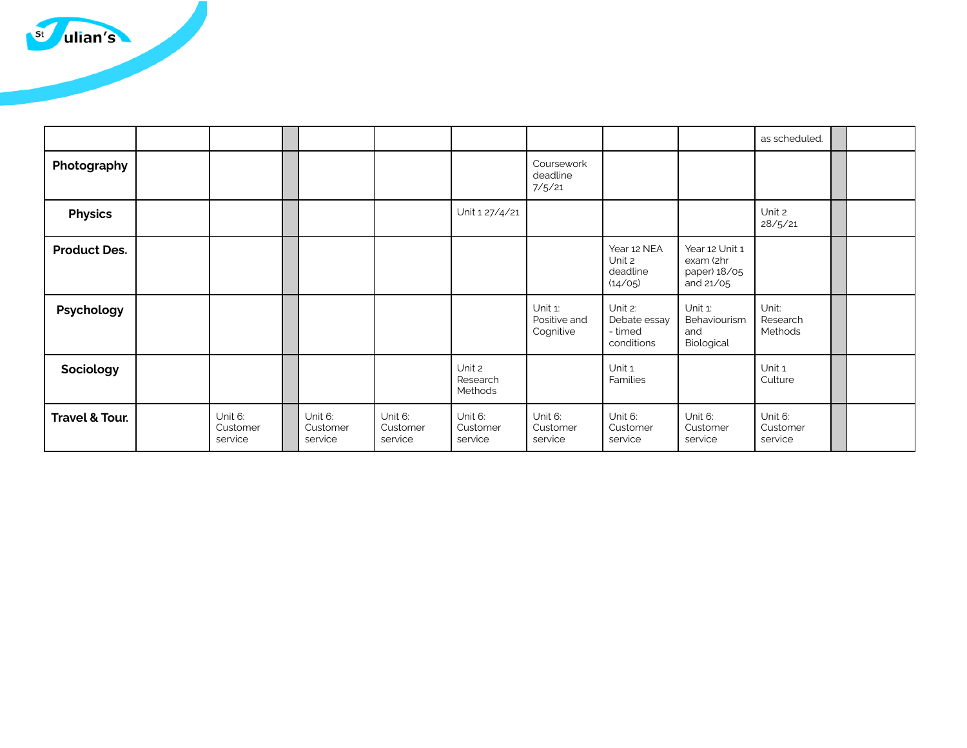

|                           |                                |                                |                                |                                |                                      |                                                  |                                                          | as scheduled.                  |  |
|---------------------------|--------------------------------|--------------------------------|--------------------------------|--------------------------------|--------------------------------------|--------------------------------------------------|----------------------------------------------------------|--------------------------------|--|
| Photography               |                                |                                |                                |                                | Coursework<br>deadline<br>7/5/21     |                                                  |                                                          |                                |  |
| <b>Physics</b>            |                                |                                |                                | Unit 1 27/4/21                 |                                      |                                                  |                                                          | Unit 2<br>28/5/21              |  |
| <b>Product Des.</b>       |                                |                                |                                |                                |                                      | Year 12 NEA<br>Unit 2<br>deadline<br>(14/05)     | Year 12 Unit 1<br>exam (2hr<br>paper) 18/05<br>and 21/05 |                                |  |
| Psychology                |                                |                                |                                |                                | Unit 1:<br>Positive and<br>Cognitive | Unit 2:<br>Debate essay<br>- timed<br>conditions | Unit 1:<br>Behaviourism<br>and<br>Biological             | Unit:<br>Research<br>Methods   |  |
| Sociology                 |                                |                                |                                | Unit 2<br>Research<br>Methods  |                                      | Unit 1<br><b>Families</b>                        |                                                          | Unit 1<br>Culture              |  |
| <b>Travel &amp; Tour.</b> | Unit 6:<br>Customer<br>service | Unit 6:<br>Customer<br>service | Unit 6:<br>Customer<br>service | Unit 6:<br>Customer<br>service | Unit 6:<br>Customer<br>service       | Unit 6:<br>Customer<br>service                   | Unit 6:<br>Customer<br>service                           | Unit 6:<br>Customer<br>service |  |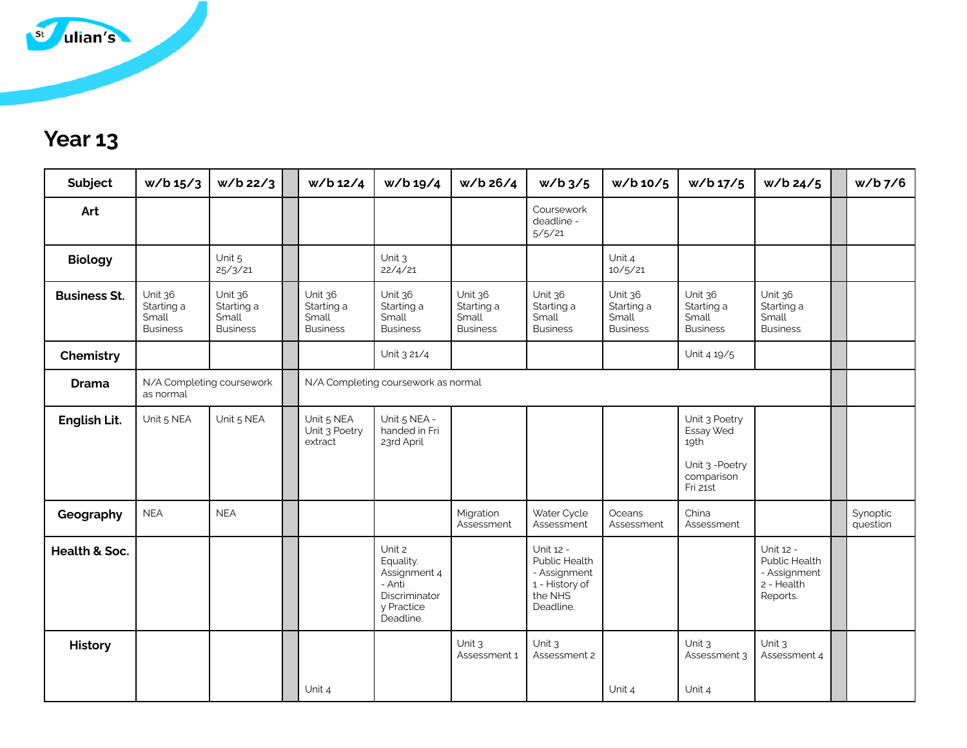

## **Year 13**

| Subject             | w/b 15/3                                          | $w/b$ 22/3                                        | w/b 12/4                                          | w/b 19/4                                                                                  | w/b 26/4                                          | $w/b$ 3/5                                                                            | w/b 10/5                                          | w/b 17/5                                                                        | $w/b$ 24/5                                                           | $w/b$ 7/6            |
|---------------------|---------------------------------------------------|---------------------------------------------------|---------------------------------------------------|-------------------------------------------------------------------------------------------|---------------------------------------------------|--------------------------------------------------------------------------------------|---------------------------------------------------|---------------------------------------------------------------------------------|----------------------------------------------------------------------|----------------------|
| Art                 |                                                   |                                                   |                                                   |                                                                                           |                                                   | Coursework<br>deadline -<br>5/5/21                                                   |                                                   |                                                                                 |                                                                      |                      |
| <b>Biology</b>      |                                                   | Unit 5<br>25/3/21                                 |                                                   | Unit 3<br>22/4/21                                                                         |                                                   |                                                                                      | Unit 4<br>10/5/21                                 |                                                                                 |                                                                      |                      |
| <b>Business St.</b> | Unit 36<br>Starting a<br>Small<br><b>Business</b> | Unit 36<br>Starting a<br>Small<br><b>Business</b> | Unit 36<br>Starting a<br>Small<br><b>Business</b> | Unit 36<br>Starting a<br>Small<br><b>Business</b>                                         | Unit 36<br>Starting a<br>Small<br><b>Business</b> | Unit 36<br>Starting a<br>Small<br><b>Business</b>                                    | Unit 36<br>Starting a<br>Small<br><b>Business</b> | Unit 36<br>Starting a<br>Small<br><b>Business</b>                               | Unit 36<br>Starting a<br>Small<br><b>Business</b>                    |                      |
| Chemistry           |                                                   |                                                   |                                                   | Unit 3 21/4                                                                               |                                                   |                                                                                      |                                                   | Unit 4 19/5                                                                     |                                                                      |                      |
| <b>Drama</b>        | N/A Completing coursework<br>as normal            |                                                   |                                                   | N/A Completing coursework as normal                                                       |                                                   |                                                                                      |                                                   |                                                                                 |                                                                      |                      |
| English Lit.        | Unit 5 NEA                                        | Unit 5 NEA                                        | Unit 5 NEA<br>Unit 3 Poetry<br>extract            | Unit 5 NEA -<br>handed in Fri<br>23rd April                                               |                                                   |                                                                                      |                                                   | Unit 3 Poetry<br>Essay Wed<br>19th<br>Unit 3 - Poetry<br>comparison<br>Fri 21st |                                                                      |                      |
| Geography           | <b>NEA</b>                                        | <b>NEA</b>                                        |                                                   |                                                                                           | Migration<br>Assessment                           | Water Cycle<br>Assessment                                                            | Oceans<br>Assessment                              | China<br>Assessment                                                             |                                                                      | Synoptic<br>question |
| Health & Soc.       |                                                   |                                                   |                                                   | Unit 2<br>Equality.<br>Assignment 4<br>- Anti<br>Discriminator<br>y Practice<br>Deadline. |                                                   | Unit 12 -<br>Public Health<br>- Assignment<br>1 - History of<br>the NHS<br>Deadline. |                                                   |                                                                                 | Unit 12 -<br>Public Health<br>- Assignment<br>2 - Health<br>Reports. |                      |
| <b>History</b>      |                                                   |                                                   |                                                   |                                                                                           | Unit 3<br>Assessment 1                            | Unit 3<br>Assessment 2                                                               |                                                   | Unit $3$<br>Assessment 3                                                        | Unit 3<br>Assessment 4                                               |                      |
|                     |                                                   |                                                   | Unit 4                                            |                                                                                           |                                                   |                                                                                      | Unit 4                                            | Unit 4                                                                          |                                                                      |                      |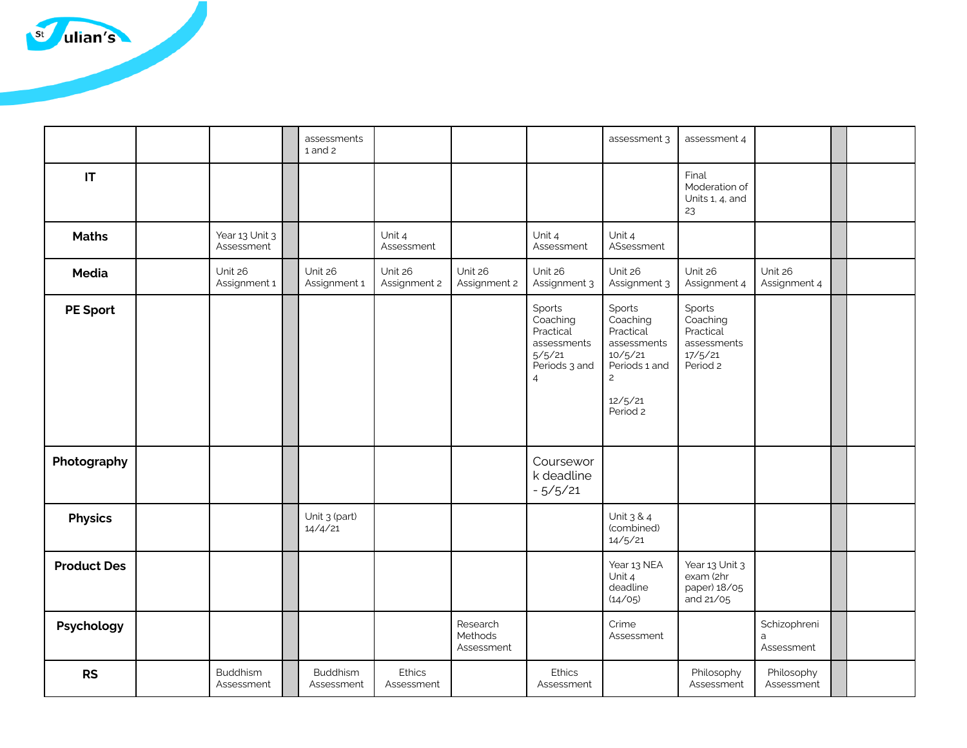

|                    |                               | assessments<br>$1$ and $2$    |                         |                                   |                                                                                             | assessment 3                                                                                                        | assessment 4                                                          |                                 |  |
|--------------------|-------------------------------|-------------------------------|-------------------------|-----------------------------------|---------------------------------------------------------------------------------------------|---------------------------------------------------------------------------------------------------------------------|-----------------------------------------------------------------------|---------------------------------|--|
| IT                 |                               |                               |                         |                                   |                                                                                             |                                                                                                                     | Final<br>Moderation of<br>Units 1, 4, and<br>23                       |                                 |  |
| <b>Maths</b>       | Year 13 Unit 3<br>Assessment  |                               | Unit 4<br>Assessment    |                                   | Unit 4<br>Assessment                                                                        | Unit 4<br>ASsessment                                                                                                |                                                                       |                                 |  |
| Media              | Unit 26<br>Assignment 1       | Unit 26<br>Assignment 1       | Unit 26<br>Assignment 2 | Unit 26<br>Assignment 2           | Unit 26<br>Assignment 3                                                                     | Unit 26<br>Assignment 3                                                                                             | Unit 26<br>Assignment 4                                               | Unit 26<br>Assignment 4         |  |
| <b>PE Sport</b>    |                               |                               |                         |                                   | Sports<br>Coaching<br>Practical<br>assessments<br>5/5/21<br>Periods 3 and<br>$\overline{4}$ | Sports<br>Coaching<br>Practical<br>assessments<br>10/5/21<br>Periods 1 and<br>$\overline{c}$<br>12/5/21<br>Period 2 | Sports<br>Coaching<br>Practical<br>assessments<br>17/5/21<br>Period 2 |                                 |  |
| Photography        |                               |                               |                         |                                   | Coursewor<br>k deadline<br>$-5/5/21$                                                        |                                                                                                                     |                                                                       |                                 |  |
| <b>Physics</b>     |                               | Unit 3 (part)<br>14/4/21      |                         |                                   |                                                                                             | Unit 3 & 4<br>(combined)<br>14/5/21                                                                                 |                                                                       |                                 |  |
| <b>Product Des</b> |                               |                               |                         |                                   |                                                                                             | Year 13 NEA<br>Unit 4<br>deadline<br>(14/05)                                                                        | Year 13 Unit 3<br>exam (2hr<br>paper) 18/05<br>and 21/05              |                                 |  |
| Psychology         |                               |                               |                         | Research<br>Methods<br>Assessment |                                                                                             | Crime<br>Assessment                                                                                                 |                                                                       | Schizophreni<br>a<br>Assessment |  |
| <b>RS</b>          | <b>Buddhism</b><br>Assessment | <b>Buddhism</b><br>Assessment | Ethics<br>Assessment    |                                   | <b>Ethics</b><br>Assessment                                                                 |                                                                                                                     | Philosophy<br>Assessment                                              | Philosophy<br>Assessment        |  |